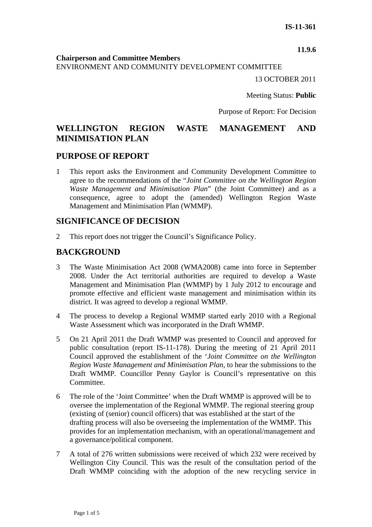**11.9.6**

**Chairperson and Committee Members**

ENVIRONMENT AND COMMUNITY DEVELOPMENT COMMITTEE

13 OCTOBER 2011

Meeting Status: **Public**

Purpose of Report: For Decision

# **WELLINGTON REGION WASTE MANAGEMENT AND MINIMISATION PLAN**

## **PURPOSE OF REPORT**

1 This report asks the Environment and Community Development Committee to agree to the recommendations of the "*Joint Committee on the Wellington Region Waste Management and Minimisation Plan*" (the Joint Committee) and as a consequence, agree to adopt the (amended) Wellington Region Waste Management and Minimisation Plan (WMMP).

## **SIGNIFICANCE OF DECISION**

2 This report does not trigger the Council's Significance Policy.

## **BACKGROUND**

- 3 The Waste Minimisation Act 2008 (WMA2008) came into force in September 2008. Under the Act territorial authorities are required to develop a Waste Management and Minimisation Plan (WMMP) by 1 July 2012 to encourage and promote effective and efficient waste management and minimisation within its district. It was agreed to develop a regional WMMP.
- 4 The process to develop a Regional WMMP started early 2010 with a Regional Waste Assessment which was incorporated in the Draft WMMP.
- 5 On 21 April 2011 the Draft WMMP was presented to Council and approved for public consultation (report IS-11-178). During the meeting of 21 April 2011 Council approved the establishment of the '*Joint Committee on the Wellington Region Waste Management and Minimisation Plan,* to hear the submissions to the Draft WMMP. Councillor Penny Gaylor is Council's representative on this Committee.
- 6 The role of the 'Joint Committee' when the Draft WMMP is approved will be to oversee the implementation of the Regional WMMP. The regional steering group (existing of (senior) council officers) that was established at the start of the drafting process will also be overseeing the implementation of the WMMP. This provides for an implementation mechanism, with an operational/management and a governance/political component.
- 7 A total of 276 written submissions were received of which 232 were received by Wellington City Council. This was the result of the consultation period of the Draft WMMP coinciding with the adoption of the new recycling service in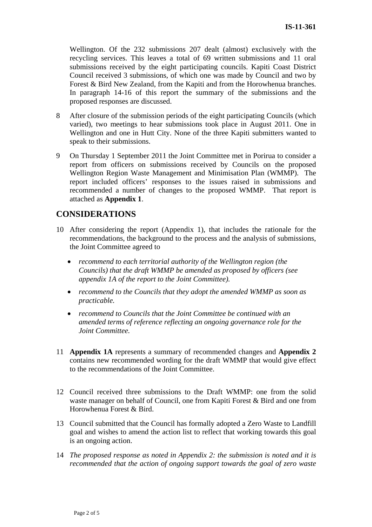Wellington. Of the 232 submissions 207 dealt (almost) exclusively with the recycling services. This leaves a total of 69 written submissions and 11 oral submissions received by the eight participating councils. Kapiti Coast District Council received 3 submissions, of which one was made by Council and two by Forest & Bird New Zealand, from the Kapiti and from the Horowhenua branches. In paragraph 14-16 of this report the summary of the submissions and the proposed responses are discussed.

- 8 After closure of the submission periods of the eight participating Councils (which varied), two meetings to hear submissions took place in August 2011. One in Wellington and one in Hutt City. None of the three Kapiti submitters wanted to speak to their submissions.
- 9 On Thursday 1 September 2011 the Joint Committee met in Porirua to consider a report from officers on submissions received by Councils on the proposed Wellington Region Waste Management and Minimisation Plan (WMMP). The report included officers' responses to the issues raised in submissions and recommended a number of changes to the proposed WMMP. That report is attached as **Appendix 1**.

## **CONSIDERATIONS**

- 10 After considering the report (Appendix 1), that includes the rationale for the recommendations, the background to the process and the analysis of submissions, the Joint Committee agreed to
	- *recommend to each territorial authority of the Wellington region (the Councils) that the draft WMMP be amended as proposed by officers (see appendix 1A of the report to the Joint Committee).*
	- *recommend to the Councils that they adopt the amended WMMP as soon as practicable.*
	- *recommend to Councils that the Joint Committee be continued with an amended terms of reference reflecting an ongoing governance role for the Joint Committee.*
- 11 **Appendix 1A** represents a summary of recommended changes and **Appendix 2** contains new recommended wording for the draft WMMP that would give effect to the recommendations of the Joint Committee.
- 12 Council received three submissions to the Draft WMMP: one from the solid waste manager on behalf of Council, one from Kapiti Forest & Bird and one from Horowhenua Forest & Bird.
- 13 Council submitted that the Council has formally adopted a Zero Waste to Landfill goal and wishes to amend the action list to reflect that working towards this goal is an ongoing action.
- 14 *The proposed response as noted in Appendix 2: the submission is noted and it is recommended that the action of ongoing support towards the goal of zero waste*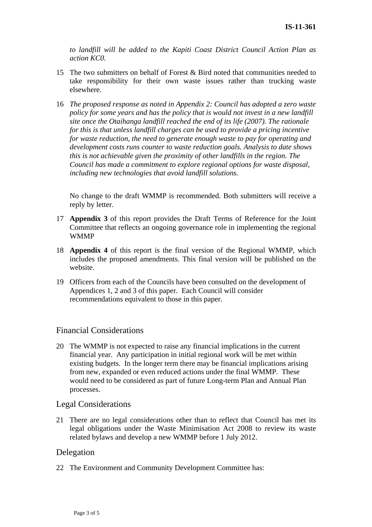*to landfill will be added to the Kapiti Coast District Council Action Plan as action KC0.*

- 15 The two submitters on behalf of Forest & Bird noted that communities needed to take responsibility for their own waste issues rather than trucking waste elsewhere.
- 16 *The proposed response as noted in Appendix 2: Council has adopted a zero waste policy for some years and has the policy that is would not invest in a new landfill site once the Otaihanga landfill reached the end of its life (2007). The rationale for this is that unless landfill charges can be used to provide a pricing incentive for waste reduction, the need to generate enough waste to pay for operating and development costs runs counter to waste reduction goals. Analysis to date shows this is not achievable given the proximity of other landfills in the region. The Council has made a commitment to explore regional options for waste disposal, including new technologies that avoid landfill solutions.*

No change to the draft WMMP is recommended. Both submitters will receive a reply by letter.

- 17 **Appendix 3** of this report provides the Draft Terms of Reference for the Joint Committee that reflects an ongoing governance role in implementing the regional WMMP
- 18 **Appendix 4** of this report is the final version of the Regional WMMP, which includes the proposed amendments. This final version will be published on the website.
- 19 Officers from each of the Councils have been consulted on the development of Appendices 1, 2 and 3 of this paper. Each Council will consider recommendations equivalent to those in this paper.

### Financial Considerations

20 The WMMP is not expected to raise any financial implications in the current financial year. Any participation in initial regional work will be met within existing budgets. In the longer term there may be financial implications arising from new, expanded or even reduced actions under the final WMMP. These would need to be considered as part of future Long-term Plan and Annual Plan processes.

### Legal Considerations

21 There are no legal considerations other than to reflect that Council has met its legal obligations under the Waste Minimisation Act 2008 to review its waste related bylaws and develop a new WMMP before 1 July 2012.

### Delegation

22 The Environment and Community Development Committee has: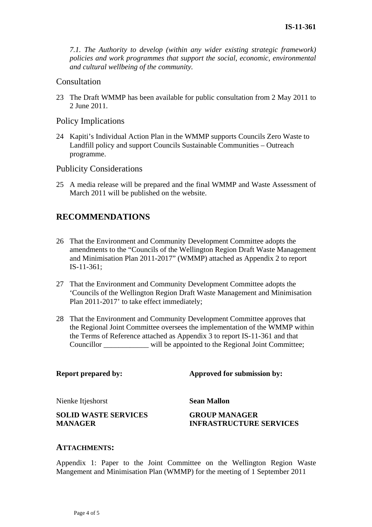*7.1. The Authority to develop (within any wider existing strategic framework) policies and work programmes that support the social, economic, environmental and cultural wellbeing of the community.* 

#### **Consultation**

23 The Draft WMMP has been available for public consultation from 2 May 2011 to 2 June 2011.

#### Policy Implications

24 Kapiti's Individual Action Plan in the WMMP supports Councils Zero Waste to Landfill policy and support Councils Sustainable Communities – Outreach programme.

Publicity Considerations

25 A media release will be prepared and the final WMMP and Waste Assessment of March 2011 will be published on the website.

# **RECOMMENDATIONS**

- 26 That the Environment and Community Development Committee adopts the amendments to the "Councils of the Wellington Region Draft Waste Management and Minimisation Plan 2011-2017" (WMMP) attached as Appendix 2 to report IS-11-361;
- 27 That the Environment and Community Development Committee adopts the 'Councils of the Wellington Region Draft Waste Management and Minimisation Plan 2011-2017' to take effect immediately;
- 28 That the Environment and Community Development Committee approves that the Regional Joint Committee oversees the implementation of the WMMP within the Terms of Reference attached as Appendix 3 to report IS-11-361 and that Councillor \_\_\_\_\_\_\_\_\_\_\_\_ will be appointed to the Regional Joint Committee;

**Report prepared by:** Approved for submission by:

Nienke Itjeshorst **Sean Mallon** 

**SOLID WASTE SERVICES MANAGER** 

**GROUP MANAGER INFRASTRUCTURE SERVICES** 

#### **ATTACHMENTS:**

Appendix 1: Paper to the Joint Committee on the Wellington Region Waste Mangement and Minimisation Plan (WMMP) for the meeting of 1 September 2011